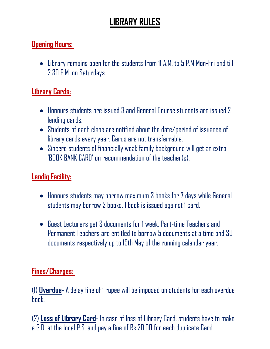# **LIBRARY RULES**

#### **Opening Hours:**

 Library remains open for the students from 11A.M. to 5 P.M Mon-Fri and till 2.30 P.M. on Saturdays.

# **Library Cards:**

- Honours students are issued 3 and General Course students are issued 2 lending cards.
- Students of each class are notified about the date/period of issuance of library cards every year. Cards are not transferrable.
- Sincere students of financially weak family background will get an extra 'BOOK BANK CARD' on recommendation of the teacher(s).

## **Lendig Facility:**

- Honours students may borrow maximum 3 books for 7 days while General students may borrow 2 books. 1 book is issued against 1 card.
- Guest Lecturers get 3 documents for 1 week. Part-time Teachers and Permanent Teachers are entitled to borrow 5 documents at a time and 30 documents respectively up to 15th May of the running calendar year.

### **Fines/Charges:**

(1) **Overdue**-Adelay fine of 1 rupee will be imposed on students for each overdue hnnk

(2) **Loss of Library Card**- In case of loss of Library Card, students have to make a G.D. at the local P.S. and pay a fine of Rs.20.00 for each duplicate Card.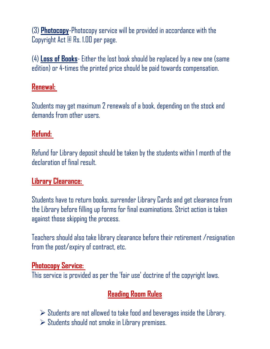(3) **Photocopy**-Photocopy service will be provided in accordance with the Copyright Act @ Rs. 1.00 per page.

(4) **Loss of Books**- Either the lost book should be replaced by a new one (same edition) or 4-times the printed price should be paid towards compensation.

## **Renewal:**

Students may get maximum 2 renewals of a book, depending on the stock and demands from other users.

## **Refund:**

Refund for Library deposit should be taken by the students within 1 month of the declaration of final result.

# **Library Clearance:**

Students have to return books, surrender Library Cards and get clearance from the Library before filling up forms for final examinations. Strict action is taken against those skipping the process.

Teachers should also take library clearance before their retirement /resignation from the post/expiry of contract, etc.

### **Photocopy Service:**

This service is provided as per the 'fair use' doctrine of the copyright laws.

# **Reading Room Rules**

- $\triangleright$  Students are not allowed to take food and beverages inside the Library.
- $\triangleright$  Students should not smoke in Library premises.